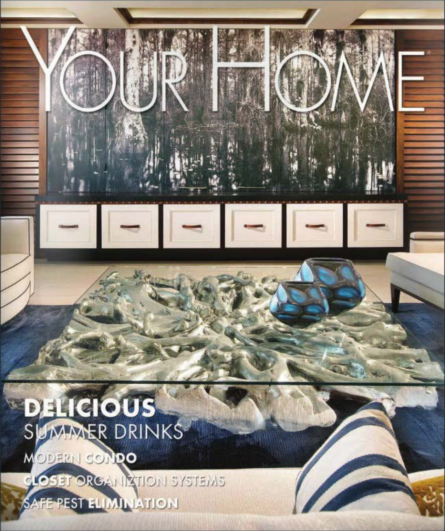# **DELICIOUS** SUMMER DRINKS

MODERN CONDO

CLOSET ORGANIZTION SYSTEMS

SAFE PEST ELIMINATION